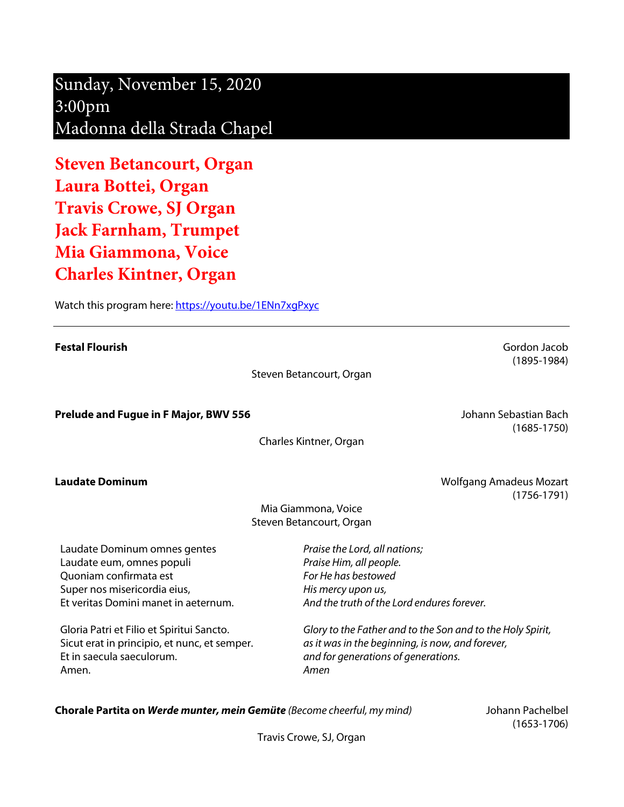Sunday, November 15, 2020 3:00pm Madonna della Strada Chapel

**Steven Betancourt, Organ Laura Bottei, Organ Travis Crowe, SJ Organ Jack Farnham, Trumpet Mia Giammona, Voice Charles Kintner, Organ**

Watch this program here: https://youtu.be/1ENn7xqPxyc

**Festal Flourish** Gordon Jacob (1895-1984) Steven Betancourt, Organ **Prelude and Fugue in F Major, BWV 556 Communist Except Except Control of Texas Area Fugue Control of Texas Area Fugue Control of Texas Area Fugue Control of Texas Area Fugue Control of Texas Area Fugue Control of Texas** (1685-1750) Charles Kintner, Organ **Laudate Dominum Laudate Dominum Community Community Community Community Community Community Community Community Community Community Community Community Community Community Community Community Community Community Commu** (1756-1791) Mia Giammona, Voice Steven Betancourt, Organ Laudate Dominum omnes gentes Laudate eum, omnes populi Quoniam confirmata est Super nos misericordia eius, Et veritas Domini manet in aeternum. Gloria Patri et Filio et Spiritui Sancto. Sicut erat in principio, et nunc, et semper. Et in saecula saeculorum. Amen. *Praise the Lord, all nations; Praise Him, all people. For He has bestowed His mercy upon us, And the truth of the Lord endures forever. Glory to the Father and to the Son and to the Holy Spirit, as it was in the beginning, is now, and forever, and for generations of generations. Amen*

**Chorale Partita on** *Werde munter, mein Gemüte (Become cheerful, my mind)* Johann Pachelbel

(1653-1706)

Travis Crowe, SJ, Organ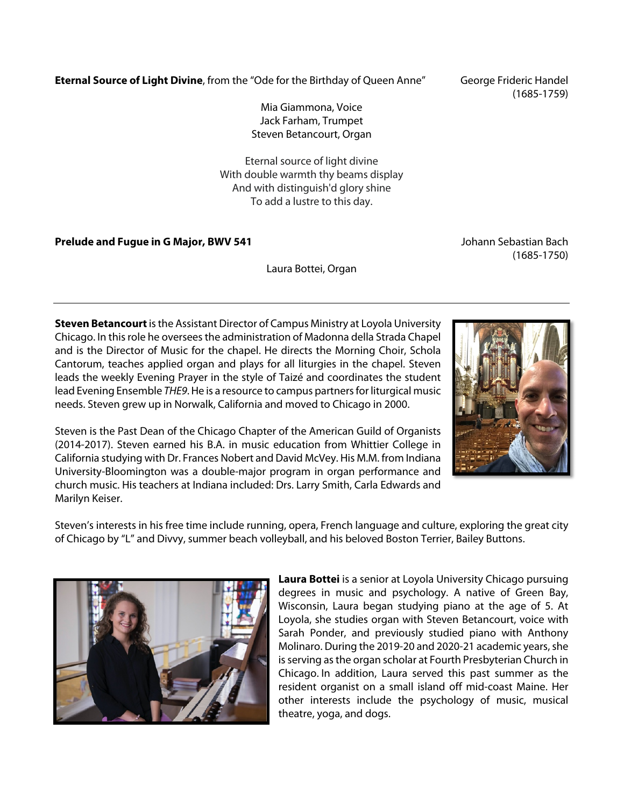**Eternal Source of Light Divine**, from the "Ode for the Birthday of Queen Anne" George Frideric Handel

Mia Giammona, Voice Jack Farham, Trumpet Steven Betancourt, Organ

Eternal source of light divine With double warmth thy beams display And with distinguish'd glory shine To add a lustre to this day.

**Prelude and Fugue in G Major, BWV 541 Johann Sebastian Bach** Johann Sebastian Bach

Laura Bottei, Organ

**Steven Betancourt**is the Assistant Director of Campus Ministry at Loyola University Chicago. In this role he oversees the administration of Madonna della Strada Chapel and is the Director of Music for the chapel. He directs the Morning Choir, Schola Cantorum, teaches applied organ and plays for all liturgies in the chapel. Steven leads the weekly Evening Prayer in the style of Taizé and coordinates the student lead Evening Ensemble *THE9*. He is a resource to campus partners for liturgical music needs. Steven grew up in Norwalk, California and moved to Chicago in 2000.

Steven is the Past Dean of the Chicago Chapter of the American Guild of Organists (2014-2017). Steven earned his B.A. in music education from Whittier College in California studying with Dr. Frances Nobert and David McVey. His M.M. from Indiana University-Bloomington was a double-major program in organ performance and church music. His teachers at Indiana included: Drs. Larry Smith, Carla Edwards and Marilyn Keiser.

Steven's interests in his free time include running, opera, French language and culture, exploring the great city of Chicago by "L" and Divvy, summer beach volleyball, and his beloved Boston Terrier, Bailey Buttons.

> **Laura Bottei** is a senior at Loyola University Chicago pursuing degrees in music and psychology. A native of Green Bay, Wisconsin, Laura began studying piano at the age of 5. At Loyola, she studies organ with Steven Betancourt, voice with Sarah Ponder, and previously studied piano with Anthony Molinaro. During the 2019-20 and 2020-21 academic years, she is serving as the organ scholar at Fourth Presbyterian Church in Chicago. In addition, Laura served this past summer as the resident organist on a small island off mid-coast Maine. Her other interests include the psychology of music, musical theatre, yoga, and dogs.







(1685-1750)

(1685-1759)